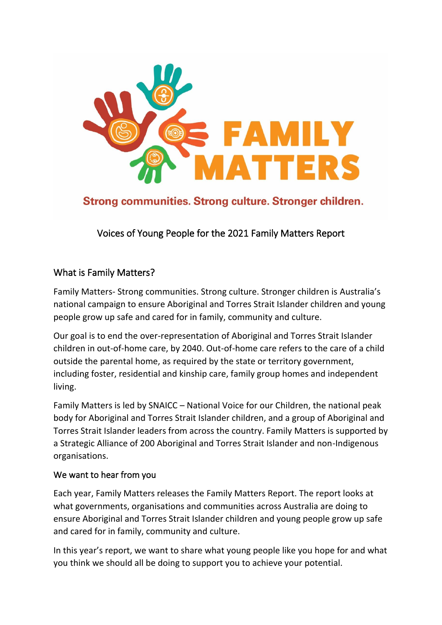

Strong communities. Strong culture. Stronger children.

Voices of Young People for the 2021 Family Matters Report

# What is Family Matters?

Family Matters- Strong communities. Strong culture. Stronger children is Australia's national campaign to ensure Aboriginal and Torres Strait Islander children and young people grow up safe and cared for in family, community and culture.

Our goal is to end the over-representation of Aboriginal and Torres Strait Islander children in out-of-home care, by 2040. Out-of-home care refers to the care of a child outside the parental home, as required by the state or territory government, including foster, residential and kinship care, family group homes and independent living.

Family Matters is led by SNAICC – National Voice for our Children, the national peak body for Aboriginal and Torres Strait Islander children, and a group of Aboriginal and Torres Strait Islander leaders from across the country. Family Matters is supported by a Strategic Alliance of 200 Aboriginal and Torres Strait Islander and non-Indigenous organisations.

## We want to hear from you

Each year, Family Matters releases the Family Matters Report. The report looks at what governments, organisations and communities across Australia are doing to ensure Aboriginal and Torres Strait Islander children and young people grow up safe and cared for in family, community and culture.

In this year's report, we want to share what young people like you hope for and what you think we should all be doing to support you to achieve your potential.